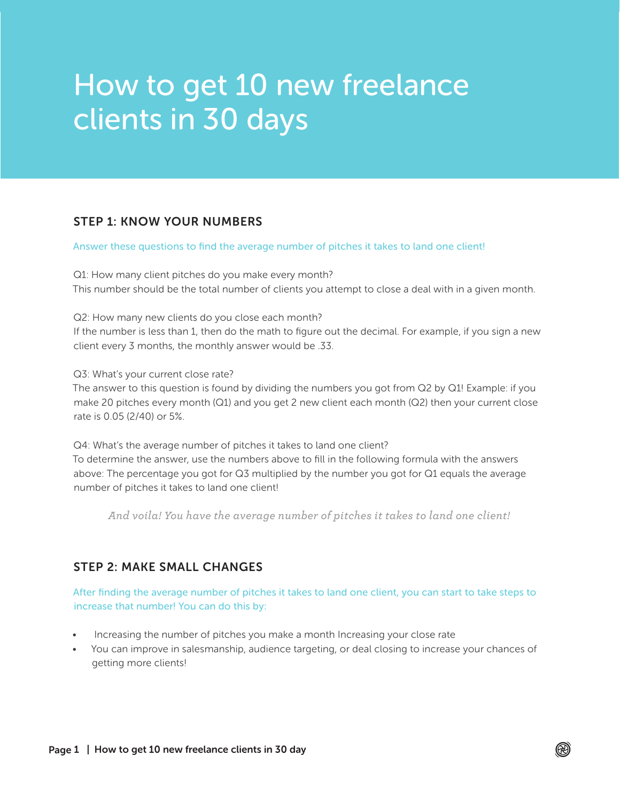# How to get 10 new freelance clients in 30 days

### STEP 1: KNOW YOUR NUMBERS

#### Answer these questions to find the average number of pitches it takes to land one client!

Q1: How many client pitches do you make every month? This number should be the total number of clients you attempt to close a deal with in a given month.

Q2: How many new clients do you close each month?

If the number is less than 1, then do the math to figure out the decimal. For example, if you sign a new client every 3 months, the monthly answer would be .33.

Q3: What's your current close rate?

The answer to this question is found by dividing the numbers you got from Q2 by Q1! Example: if you make 20 pitches every month (Q1) and you get 2 new client each month (Q2) then your current close rate is 0.05 (2/40) or 5%.

Q4: What's the average number of pitches it takes to land one client? To determine the answer, use the numbers above to fill in the following formula with the answers above: The percentage you got for Q3 multiplied by the number you got for Q1 equals the average number of pitches it takes to land one client!

*And voila! You have the average number of pitches it takes to land one client!*

#### STEP 2: MAKE SMALL CHANGES

After finding the average number of pitches it takes to land one client, you can start to take steps to increase that number! You can do this by:

- Increasing the number of pitches you make a month Increasing your close rate
- You can improve in salesmanship, audience targeting, or deal closing to increase your chances of getting more clients!